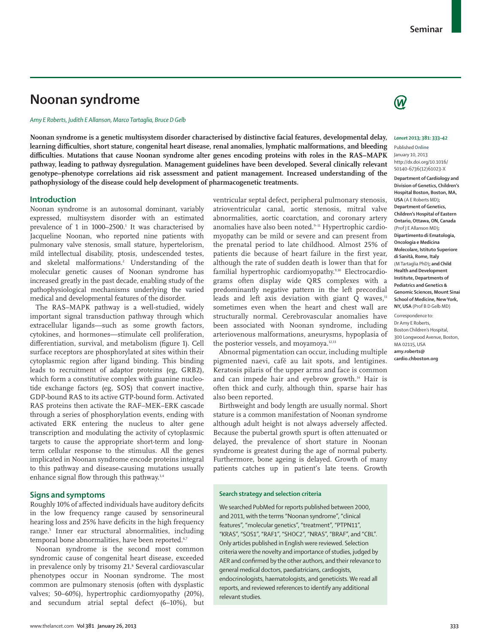# **Noonan syndrome**

### *Amy E Roberts, Judith E Allanson, Marco Tartaglia, Bruce D Gelb*

**Noonan syndrome is a genetic multisystem disorder characterised by distinctive facial features, developmental delay,**  learning difficulties, short stature, congenital heart disease, renal anomalies, lymphatic malformations, and bleeding difficulties. Mutations that cause Noonan syndrome alter genes encoding proteins with roles in the RAS–MAPK **pathway, leading to pathway dysregulation. Management guidelines have been developed. Several clinically relevant genotype–phenotype correlations aid risk assessment and patient management. Increased understanding of the pathophysiology of the disease could help development of pharmacogenetic treatments.**

### **Introduction**

Noonan syndrome is an autosomal dominant, variably expressed, multisystem disorder with an estimated prevalence of 1 in 1000–2500.<sup>1</sup> It was characterised by Jacqueline Noonan, who reported nine patients with pulmonary valve stenosis, small stature, hypertelorism, mild intellectual disability, ptosis, undescended testes, and skeletal malformations.2 Understanding of the molecular genetic causes of Noonan syndrome has increased greatly in the past decade, enabling study of the pathophysiological mechanisms underlying the varied medical and developmental features of the disorder.

The RAS–MAPK pathway is a well-studied, widely important signal transduction pathway through which extracellular ligands—such as some growth factors, cytokines, and hormones—stimulate cell proliferation, differentiation, survival, and metabolism (figure 1). Cell surface receptors are phosphorylated at sites within their cytoplasmic region after ligand binding. This binding leads to recruitment of adaptor proteins (eg, GRB2), which form a constitutive complex with guanine nucleotide exchange factors (eg, SOS) that convert inactive, GDP-bound RAS to its active GTP-bound form. Activated RAS proteins then activate the RAF–MEK–ERK cascade through a series of phosphorylation events, ending with activated ERK entering the nucleus to alter gene transcription and modulating the activity of cytoplasmic targets to cause the appropriate short-term and longterm cellular response to the stimulus. All the genes implicated in Noonan syndrome encode proteins integral to this pathway and disease-causing mutations usually enhance signal flow through this pathway.<sup>3,4</sup>

# **Signs and symptoms**

Roughly 10% of affected individuals have auditory deficits in the low frequency range caused by sensorineural hearing loss and 25% have deficits in the high frequency range.<sup>5</sup> Inner ear structural abnormalities, including temporal bone abnormalities, have been reported.<sup>6,7</sup>

Noonan syndrome is the second most common syndromic cause of congenital heart disease, exceeded in prevalence only by trisomy 21.8 Several cardiovascular phenotypes occur in Noonan syndrome. The most common are pulmonary stenosis (often with dysplastic valves; 50–60%), hypertrophic cardiomyopathy (20%), and secundum atrial septal defect (6–10%), but

ventricular septal defect, peripheral pulmonary stenosis, atrioventricular canal, aortic stenosis, mitral valve abnormalities, aortic coarctation, and coronary artery anomalies have also been noted.<sup>9-11</sup> Hypertrophic cardiomyopathy can be mild or severe and can present from the prenatal period to late childhood. Almost 25% of patients die because of heart failure in the first year, although the rate of sudden death is lower than that for familial hypertrophic cardiomyopathy.<sup>9,10</sup> Electrocardiograms often display wide QRS complexes with a predominantly negative pattern in the left precordial leads and left axis deviation with giant  $Q$  waves, $11$ sometimes even when the heart and chest wall are structurally normal. Cerebrovascular anomalies have been associated with Noonan syndrome, including arteriovenous malformations, aneurysms, hypoplasia of the posterior vessels, and moyamoya.<sup>12,13</sup>

Abnormal pigmentation can occur, including multiple pigmented naevi, café au lait spots, and lentigines. Keratosis pilaris of the upper arms and face is common and can impede hair and eyebrow growth.14 Hair is often thick and curly, although thin, sparse hair has also been reported.

Birthweight and body length are usually normal. Short stature is a common manifestation of Noonan syndrome although adult height is not always adversely affected. Because the pubertal growth spurt is often attenuated or delayed, the prevalence of short stature in Noonan syndrome is greatest during the age of normal puberty. Furthermore, bone ageing is delayed. Growth of many patients catches up in patient's late teens. Growth

### **Search strategy and selection criteria**

We searched PubMed for reports published between 2000, and 2011, with the terms "Noonan syndrome", "clinical features", "molecular genetics", "treatment", "PTPN11", "KRAS", "SOS1", "RAF1", "SHOC2", "NRAS", "BRAF", and "CBL". Only articles published in English were reviewed. Selection criteria were the novelty and importance of studies, judged by AER and confirmed by the other authors, and their relevance to general medical doctors, paediatricians, cardiogists, endocrinologists, haematologists, and geneticists. We read all reports, and reviewed references to identify any additional relevant studies.



### *Lancet* **2013; 381: 333–42**

Published **Online** January 10, 2013 http://dx.doi.org/10.1016/ S0140-6736(12)61023-X **Department of Cardiology and** 

**Division of Genetics, Children's Hospital Boston, Boston, MA, USA** (A E Roberts MD)**; Department of Genetics, Children's Hospital of Eastern Ontario, Ottawa, ON, Canada**  (Prof J E Allanson MD)**; Dipartimento di Ematologia, Oncologia e Medicina Molecolare, Istituto Superiore di Sanità, Rome, Italy**  (M Tartaglia PhD)**; and Child Health and Development Institute, Departments of Pediatrics and Genetics & Genomic Sciences, Mount Sinai School of Medicine, New York, NY, USA** (Prof B D Gelb MD)

Correspondence to: Dr Amy E Roberts, Boston Children's Hospital, 300 Longwood Avenue, Boston, MA 02115, USA **amy.roberts@ cardio.chboston.org**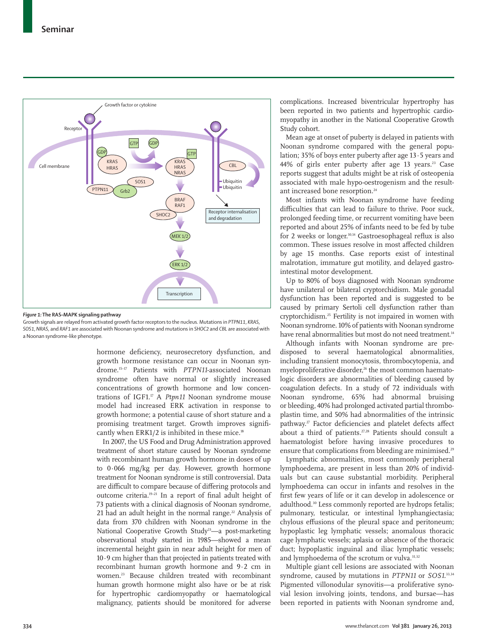

*Figure 1:* **The RAS–MAPK signaling pathway**

Growth signals are relayed from activated growth factor receptors to the nucleus. Mutations in *PTPN11*, *KRAS*, *SOS1*, *NRAS*, and *RAF1* are associated with Noonan syndrome and mutations in *SHOC2* and *CBL* are associated with a Noonan syndrome-like phenotype*.*

> hormone deficiency, neurosecretory dysfunction, and growth hormone resistance can occur in Noonan syndrome.15–17 Patients with *PTPN11*-associated Noonan syndrome often have normal or slightly increased concentrations of growth hormone and low concentrations of IGF1.<sup>17</sup> A *Ptpn11* Noonan syndrome mouse model had increased ERK activation in response to growth hormone; a potential cause of short stature and a promising treatment target. Growth improves significantly when ERK1/2 is inhibited in these mice.<sup>18</sup>

> In 2007, the US Food and Drug Administration approved treatment of short stature caused by Noonan syndrome with recombinant human growth hormone in doses of up to 0·066 mg/kg per day. However, growth hormone treatment for Noonan syndrome is still controversial. Data are difficult to compare because of differing protocols and outcome criteria.<sup>19-21</sup> In a report of final adult height of 73 patients with a clinical diagnosis of Noonan syndrome, 21 had an adult height in the normal range.<sup>22</sup> Analysis of data from 370 children with Noonan syndrome in the National Cooperative Growth Study<sup>23</sup>—a post-marketing obser vational study started in 1985—showed a mean incremental height gain in near adult height for men of 10·9 cm higher than that projected in patients treated with recombinant human growth hormone and 9·2 cm in women.23 Because children treated with recombinant human growth hormone might also have or be at risk for hypertrophic cardiomyopathy or haematological malignancy, patients should be monitored for adverse

complications. Increased biventricular hypertrophy has been reported in two patients and hypertrophic cardiomyopathy in another in the National Cooperative Growth Study cohort.

Mean age at onset of puberty is delayed in patients with Noonan syndrome compared with the general population; 35% of boys enter puberty after age 13·5 years and 44% of girls enter puberty after age 13 years.<sup>23</sup> Case reports suggest that adults might be at risk of osteopenia associated with male hypo-oestrogenism and the resultant increased bone resorption.<sup>24</sup>

Most infants with Noonan syndrome have feeding difficulties that can lead to failure to thrive. Poor suck, prolonged feeding time, or recurrent vomiting have been reported and about 25% of infants need to be fed by tube for 2 weeks or longer.<sup>10,14</sup> Gastroesophageal reflux is also common. These issues resolve in most affected children by age 15 months. Case reports exist of intestinal malrotation, immature gut motility, and delayed gastrointestinal motor development.

Up to 80% of boys diagnosed with Noonan syndrome have unilateral or bilateral cryptorchidism. Male gonadal dysfunction has been reported and is suggested to be caused by primary Sertoli cell dysfunction rather than cryptorchidism.25 Fertility is not impaired in women with Noonan syndrome. 10% of patients with Noonan syndrome have renal abnormalities but most do not need treatment.<sup>14</sup>

Although infants with Noonan syndrome are predisposed to several haematological abnormalities, including transient monocytosis, thrombocytopenia, and myeloproliferative disorder,<sup>26</sup> the most common haematologic disorders are abnormalities of bleeding caused by coagulation defects. In a study of 72 individuals with Noonan syndrome, 65% had abnormal bruising or bleeding, 40% had prolonged activated partial thromboplastin time, and 50% had abnormalities of the intrinsic pathway.<sup>27</sup> Factor deficiencies and platelet defects affect about a third of patients.<sup>27,28</sup> Patients should consult a haematologist before having invasive procedures to ensure that complications from bleeding are minimised.<sup>29</sup>

Lymphatic abnormalities, most commonly peripheral lymphoedema, are present in less than 20% of individuals but can cause substantial morbidity. Peripheral lymphoedema can occur in infants and resolves in the first few years of life or it can develop in adolescence or adulthood.<sup>30</sup> Less commonly reported are hydrops fetalis; pulmonary, testicular, or intestinal lymphangiectasia; chylous effusions of the pleural space and peritoneum; hypoplastic leg lymphatic vessels; anomalous thoracic cage lymphatic vessels; aplasia or absence of the thoracic duct; hypoplastic inguinal and iliac lymphatic vessels; and lymphoedema of the scrotum or vulva.<sup>31,32</sup>

Multiple giant cell lesions are associated with Noonan syndrome, caused by mutations in *PTPN11* or *SOS1*. 33,34 Pigmented villonodular synovitis—a proliferative synovial lesion involving joints, tendons, and bursae—has been reported in patients with Noonan syndrome and,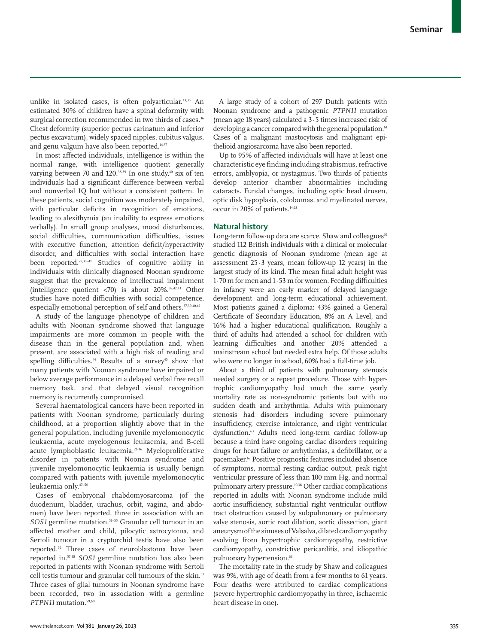unlike in isolated cases, is often polyarticular.<sup>33,35</sup> An estimated 30% of children have a spinal deformity with surgical correction recommended in two thirds of cases.<sup>36</sup> Chest deformity (superior pectus carinatum and inferior pectus excavatum), widely spaced nipples, cubitus valgus, and genu valgum have also been reported.14,37

In most affected individuals, intelligence is within the normal range, with intelligence quotient generally varying between 70 and 120. $38,39$  In one study, $40$  six of ten individuals had a significant difference between verbal and nonverbal IQ but without a consistent pattern. In these patients, social cognition was moderately impaired, with particular deficits in recognition of emotions, leading to alexithymia (an inability to express emotions verbally). In small group analyses, mood disturbances, social difficulties, communication difficulties, issues with executive function, attention deficit/hyperactivity disorder, and difficulties with social interaction have been reported.<sup>27,35-41</sup> Studies of cognitive ability in individuals with clinically diagnosed Noonan syndrome suggest that the prevalence of intellectual impairment (intelligence quotient  $\langle 70 \rangle$  is about 20%.<sup>38,42,43</sup> Other studies have noted difficulties with social competence, especially emotional perception of self and others.<sup>37,39,40,42</sup>

A study of the language phenotype of children and adults with Noonan syndrome showed that language impairments are more common in people with the disease than in the general population and, when present, are associated with a high risk of reading and spelling difficulties.<sup>44</sup> Results of a survey<sup>45</sup> show that many patients with Noonan syndrome have impaired or below average performance in a delayed verbal free recall memory task, and that delayed visual recognition memory is recurrently compromised.

Several haematological cancers have been reported in patients with Noonan syndrome, particularly during childhood, at a proportion slightly above that in the general population, including juvenile myelomonocytic leukaemia, acute myelogenous leukaemia, and B-cell acute lymphoblastic leukaemia.26,46 Myeloproliferative disorder in patients with Noonan syndrome and juvenile myelomonocytic leukaemia is usually benign compared with patients with juvenile myelomonocytic leukaemia only.47–50

Cases of embryonal rhabdomyosarcoma (of the duodenum, bladder, urachus, orbit, vagina, and abdomen) have been reported, three in association with an *SOS1* germline mutation.51–55 Granular cell tumour in an affected mother and child, pilocytic astrocytoma, and Sertoli tumour in a cryptorchid testis have also been reported.56 Three cases of neuroblastoma have been reported in.57,58 *SOS1* germline mutation has also been reported in patients with Noonan syndrome with Sertoli cell testis tumour and granular cell tumours of the skin.<sup>51</sup> Three cases of glial tumours in Noonan syndrome have been recorded, two in association with a germline *PTPN11* mutation.59,60

A large study of a cohort of 297 Dutch patients with Noonan syndrome and a pathogenic *PTPN11* mutation (mean age 18 years) calculated a 3·5 times increased risk of developing a cancer compared with the general population.<sup>61</sup> Cases of a malignant mastocytosis and malignant epithelioid angiosarcoma have also been reported.

Up to 95% of affected individuals will have at least one characteristic eye finding including strabismus, refractive errors, amblyopia, or nystagmus. Two thirds of patients develop anterior chamber abnormalities including cataracts. Fundal changes, including optic head drusen, optic disk hypoplasia, colobomas, and myelinated nerves, occur in 20% of patients.14,62

# **Natural history**

Long-term follow-up data are scarce. Shaw and colleagues<sup>10</sup> studied 112 British individuals with a clinical or molecular genetic diagnosis of Noonan syndrome (mean age at assessment 25·3 years, mean follow-up 12 years) in the largest study of its kind. The mean final adult height was  $1·70$  m for men and  $1·53$  m for women. Feeding difficulties in infancy were an early marker of delayed language development and long-term educational achievement. Most patients gained a diploma: 43% gained a General Certificate of Secondary Education, 8% an A Level, and 16% had a higher educational qualification. Roughly a third of adults had attended a school for children with learning difficulties and another 20% attended a mainstream school but needed extra help. Of those adults who were no longer in school, 60% had a full-time job.

About a third of patients with pulmonary stenosis needed surgery or a repeat procedure. Those with hypertrophic cardiomyopathy had much the same yearly mortality rate as non-syndromic patients but with no sudden death and arrhythmia. Adults with pulmonary stenosis had disorders including severe pulmonary insufficiency, exercise intolerance, and right ventricular dysfunction.63 Adults need long-term cardiac follow-up because a third have ongoing cardiac disorders requiring drugs for heart failure or arrhythmias, a defibrillator, or a pacemaker.62 Positive prognostic features included absence of symptoms, normal resting cardiac output, peak right ventricular pressure of less than 100 mm Hg, and normal pulmonary artery pressure.10,38 Other cardiac complications reported in adults with Noonan syndrome include mild aortic insufficiency, substantial right ventricular outflow tract obstruction caused by subpulmonary or pulmonary valve stenosis, aortic root dilation, aortic dissection, giant aneurysm of the sinuses of Valsalva, dilated cardiomyopathy evolving from hypertrophic cardiomyopathy, restrictive cardiomyopathy, constrictive pericarditis, and idiopathic pulmonary hypertension.<sup>63</sup>

The mortality rate in the study by Shaw and colleagues was 9%, with age of death from a few months to 61 years. Four deaths were attributed to cardiac complications (severe hypertrophic cardiomyopathy in three, ischaemic heart disease in one).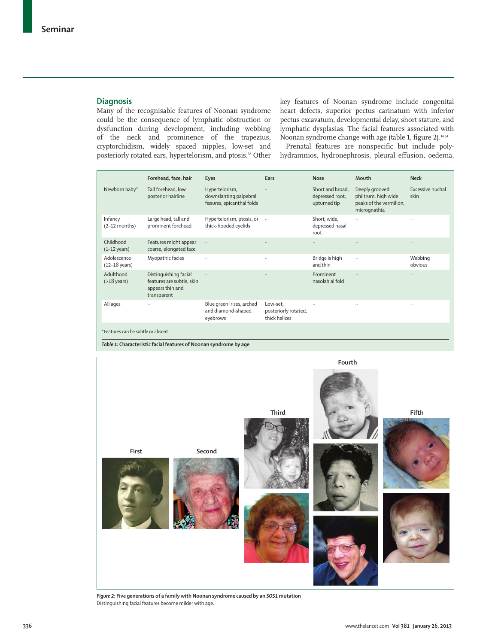# **Diagnosis**

Many of the recognisable features of Noonan syndrome could be the consequence of lymphatic obstruction or dysfunction during development, including webbing of the neck and prominence of the trapezius, cryptorchidism, widely spaced nipples, low-set and posteriorly rotated ears, hypertelorism, and ptosis.<sup>38</sup> Other

key features of Noonan syndrome include congenital heart defects, superior pectus carinatum with inferior pectus excavatum, developmental delay, short stature, and lymphatic dysplasias. The facial features associated with Noonan syndrome change with age (table 1, figure 2).<sup>14,64</sup>

Prenatal features are nonspecific but include polyhydramnios, hydronephrosis, pleural effusion, oedema,

|                                        | Forehead, face, hair                                                                  | <b>Eyes</b>                                                            | Ears                                              | <b>Nose</b>                                         | Mouth                                                                            | <b>Neck</b>              |
|----------------------------------------|---------------------------------------------------------------------------------------|------------------------------------------------------------------------|---------------------------------------------------|-----------------------------------------------------|----------------------------------------------------------------------------------|--------------------------|
| Newborn baby*                          | Tall forehead, low<br>posterior hairline                                              | Hypertelorism,<br>downslanting palpebral<br>fissures, epicanthal folds |                                                   | Short and broad.<br>depressed root,<br>upturned tip | Deeply grooved<br>philtrum, high wide<br>peaks of the vermilion,<br>micrognathia | Excessive nuchal<br>skin |
| Infancy<br>$(2-12$ months)             | Large head, tall and<br>prominent forehead                                            | Hypertelorism, ptosis, or<br>thick-hooded eyelids                      | $\ddots$                                          | Short, wide,<br>depressed nasal<br>root             | $\ldots$                                                                         |                          |
| Childhood<br>$(1-12 \text{ years})$    | Features might appear<br>coarse, elongated face                                       | $\ldots$                                                               |                                                   |                                                     | $\ldots$                                                                         |                          |
| Adolescence<br>$(12-18 \text{ years})$ | Myopathic facies                                                                      |                                                                        | $\ddots$                                          | Bridge is high<br>and thin                          | $\ldots$                                                                         | Webbing<br>obvious       |
| Adulthood<br>$( > 18$ years)           | Distinguishing facial<br>features are subtle, skin<br>appears thin and<br>transparent | $\ddotsc$                                                              | $\ddotsc$                                         | Prominent<br>nasolabial fold                        | $\ddotsc$                                                                        |                          |
| All ages                               | $\ddotsc$                                                                             | Blue green irises, arched<br>and diamond-shaped<br>eyebrows            | Low-set.<br>posteriorly rotated,<br>thick helices |                                                     | $\ddotsc$                                                                        |                          |
| *Features can be subtle or absent.     |                                                                                       |                                                                        |                                                   |                                                     |                                                                                  |                          |

*Table 1:* **Characteristic facial features of Noonan syndrome by age**



*Figure 2***: Five generations of a family with Noonan syndrome caused by an** *SOS1* **mutation**  Distinguishing facial features become milder with age.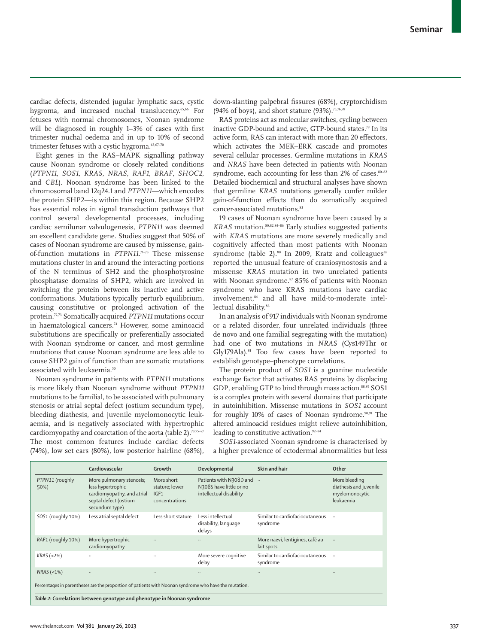cardiac defects, distended jugular lymphatic sacs, cystic hygroma, and increased nuchal translucency.<sup>65,66</sup> For fetuses with normal chromosomes, Noonan syndrome will be diagnosed in roughly  $1-3\%$  of cases with first trimester nuchal oedema and in up to 10% of second trimester fetuses with a cystic hygroma.<sup>65,67-70</sup>

Eight genes in the RAS–MAPK signalling pathway cause Noonan syndrome or closely related conditions (*PTPN11*, *SOS1*, *KRAS*, *NRAS*, *RAF1*, *BRAF*, *SHOC2*, and *CBL*). Noonan syndrome has been linked to the chromosomal band 12q24.1 and *PTPN11*—which encodes the protein SHP2—is within this region. Because SHP2 has essential roles in signal transduction pathways that control several developmental processes, including cardiac semilunar valvulogenesis, *PTPN11* was deemed an excellent candidate gene. Studies suggest that 50% of cases of Noonan syndrome are caused by missense, gainof-function mutations in *PTPN11*. 71–73 These missense mutations cluster in and around the interacting portions of the N terminus of SH2 and the phosphotyrosine phosphatase domains of SHP2, which are involved in switching the protein between its inactive and active conformations. Mutations typically perturb equilibrium, causing constitutive or prolonged activation of the protein.72,73 Somatically acquired *PTPN11* mutations occur in haematological cancers.74 However, some aminoacid substitutions are specifically or preferentially associated with Noonan syndrome or cancer, and most germline mutations that cause Noonan syndrome are less able to cause SHP2 gain of function than are somatic mutations associated with leukaemia.<sup>50</sup>

Noonan syndrome in patients with *PTPN11* mutations is more likely than Noonan syndrome without *PTPN11* mutations to be familial, to be associated with pulmonary stenosis or atrial septal defect (ostium secundum type), bleeding diathesis, and juvenile myelomonocytic leukaemia, and is negatively associated with hypertrophic cardiomyopathy and coarctation of the aorta (table 2).<sup>73,75-77</sup> The most common features include cardiac defects (74%), low set ears (80%), low posterior hairline (68%), down-slanting palpebral fissures (68%), cryptorchidism (94% of boys), and short stature (93%).75,76,78

RAS proteins act as molecular switches, cycling between inactive GDP-bound and active, GTP-bound states.<sup>79</sup> In its active form, RAS can interact with more than 20 effectors, which activates the MEK–ERK cascade and promotes several cellular processes. Germline mutations in *KRAS* and *NRAS* have been detected in patients with Noonan syndrome, each accounting for less than 2% of cases.<sup>80-82</sup> Detailed biochemical and structural analyses have shown that germline *KRAS* mutations generally confer milder gain-of-function effects than do somatically acquired cancer-associated mutations.<sup>83</sup>

19 cases of Noonan syndrome have been caused by a *KRAS* mutation.80,82,84–86 Early studies suggested patients with *KRAS* mutations are more severely medically and cognitively affected than most patients with Noonan syndrome (table 2).<sup>80</sup> In 2009, Kratz and colleagues<sup>87</sup> reported the unusual feature of craniosynostosis and a missense *KRAS* mutation in two unrelated patients with Noonan syndrome.87 85% of patients with Noonan syndrome who have KRAS mutations have cardiac involvement,<sup>84</sup> and all have mild-to-moderate intellectual disability.<sup>86</sup>

In an analysis of 917 individuals with Noonan syndrome or a related disorder, four unrelated individuals (three de novo and one familial segregating with the mutation) had one of two mutations in *NRAS* (Cys149Thr or Gly179Ala).<sup>81</sup> Too few cases have been reported to establish genotype–phenotype correlations.

The protein product of *SOS1* is a guanine nucleotide exchange factor that activates RAS proteins by displacing GDP, enabling GTP to bind through mass action.88,89 SOS1 is a complex protein with several domains that participate in autoinhibition. Missense mutations in *SOS1* account for roughly 10% of cases of Noonan syndrome.<sup>90,91</sup> The altered aminoacid residues might relieve autoinhibition, leading to constitutive activation.<sup>92-94</sup>

*SOS1*-associated Noonan syndrome is characterised by a higher prevalence of ectodermal abnormalities but less

|                                                                                                       | Cardiovascular                                                                                                         | Growth                                                 | Developmental                                                                 | Skin and hair                                 | Other                                                                  |  |
|-------------------------------------------------------------------------------------------------------|------------------------------------------------------------------------------------------------------------------------|--------------------------------------------------------|-------------------------------------------------------------------------------|-----------------------------------------------|------------------------------------------------------------------------|--|
| PTPN11 (roughly<br>50%)                                                                               | More pulmonary stenosis;<br>less hypertrophic<br>cardiomyopathy, and atrial<br>septal defect (ostium<br>secundum type) | More short<br>stature; lower<br>IGF1<br>concentrations | Patients with N308D and<br>N308S have little or no<br>intellectual disability |                                               | More bleeding<br>diathesis and juvenile<br>myelomonocytic<br>leukaemia |  |
| SOS1 (roughly 10%)                                                                                    | Less atrial septal defect                                                                                              | Less short stature                                     | Less intellectual<br>disability, language<br>delays                           | Similar to cardiofaciocutaneous<br>syndrome   | $\cdot$                                                                |  |
| RAF1 (roughly 10%)                                                                                    | More hypertrophic<br>cardiomyopathy                                                                                    |                                                        | $\ddotsc$                                                                     | More naevi, lentigines, café au<br>lait spots | $\ddotsc$                                                              |  |
| $KRAS$ (<2%)                                                                                          |                                                                                                                        | $\ddotsc$                                              | More severe cognitive<br>delay                                                | Similar to cardiofaciocutaneous<br>syndrome   | $\ddotsc$                                                              |  |
| $NRAS$ (<1%)                                                                                          | $\ddotsc$                                                                                                              | $\cdot$ .                                              |                                                                               |                                               |                                                                        |  |
| Percentages in parentheses are the proportion of patients with Noonan syndrome who have the mutation. |                                                                                                                        |                                                        |                                                                               |                                               |                                                                        |  |
| Table 2: Correlations between genotype and phenotype in Noonan syndrome                               |                                                                                                                        |                                                        |                                                                               |                                               |                                                                        |  |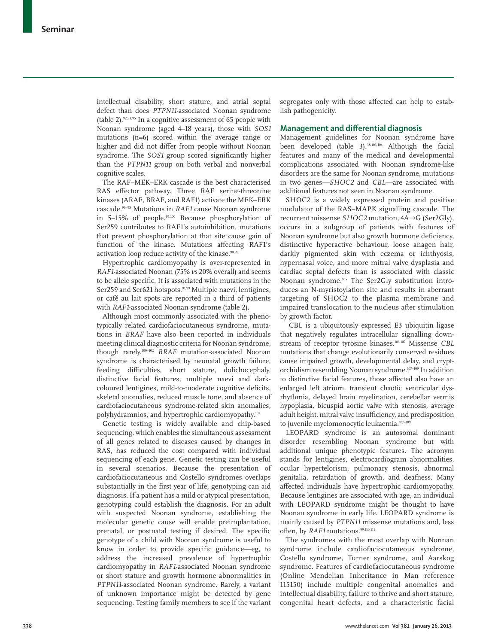intellectual disability, short stature, and atrial septal defect than does *PTPN11*-associated Noonan syndrome (table 2).92,93,95 In a cognitive assessment of 65 people with Noonan syndrome (aged 4–18 years), those with *SOS1* mutations (n=6) scored within the average range or higher and did not differ from people without Noonan syndrome. The *SOS1* group scored significantly higher than the *PTPN11* group on both verbal and nonverbal cognitive scales.

The RAF–MEK–ERK cascade is the best characterised RAS effector pathway. Three RAF serine-threonine kinases (ARAF, BRAF, and RAF1) activate the MEK–ERK cascade.96–98 Mutations in *RAF1* cause Noonan syndrome in 5–15% of people.99,100 Because phosphorylation of Ser259 contributes to RAF1's autoinhibition, mutations that prevent phosphorylation at that site cause gain of function of the kinase. Mutations affecting RAF1's activation loop reduce activity of the kinase.<sup>90,99</sup>

Hypertrophic cardiomyopathy is over-represented in *RAF1*-associated Noonan (75% *vs* 20% overall) and seems to be allele specific. It is associated with mutations in the Ser259 and Ser621 hotspots.<sup>91,99</sup> Multiple naevi, lentigines, or café au lait spots are reported in a third of patients with *RAF1*-associated Noonan syndrome (table 2).

Although most commonly associated with the phenotypically related cardiofaciocutaneous syndrome, mutations in *BRAF* have also been reported in individuals meeting clinical diagnostic criteria for Noonan syndrome, though rarely.100–102 *BRAF* mutation-associated Noonan syndrome is characterised by neonatal growth failure, feeding difficulties, short stature, dolichocephaly, distinctive facial features, multiple naevi and darkcoloured lentigines, mild-to-moderate cognitive deficits, skeletal anomalies, reduced muscle tone, and absence of cardiofaciocutaneous syndrome-related skin anomalies, polyhydramnios, and hypertrophic cardiomyopathy.<sup>102</sup>

Genetic testing is widely available and chip-based sequencing, which enables the simultaneous assessment of all genes related to diseases caused by changes in RAS, has reduced the cost compared with individual sequencing of each gene. Genetic testing can be useful in several scenarios. Because the presentation of cardiofaciocutaneous and Costello syndromes overlaps substantially in the first year of life, genotyping can aid diagnosis. If a patient has a mild or atypical presentation, genotyping could establish the diagnosis. For an adult with suspected Noonan syndrome, establishing the molecular genetic cause will enable preimplantation, prenatal, or postnatal testing if desired. The specific genotype of a child with Noonan syndrome is useful to know in order to provide specific guidance—eg, to address the increased prevalence of hypertrophic cardiomyopathy in *RAF1*-associated Noonan syndrome or short stature and growth hormone abnormalities in *PTPN11*-associated Noonan syndrome. Rarely, a variant of unknown importance might be detected by gene sequencing. Testing family members to see if the variant

segregates only with those affected can help to establish pathogenicity.

## **Management and differential diagnosis**

Management guidelines for Noonan syndrome have been developed (table 3).<sup>38,103,104</sup> Although the facial features and many of the medical and developmental complications associated with Noonan syndrome-like disorders are the same for Noonan syndrome, mutations in two genes*—SHOC2* and *CBL*—are associated with additional features not seen in Noonan syndrome.

SHOC2 is a widely expressed protein and positive modulator of the RAS–MAPK signalling cascade. The recurrent missense *SHOC2* mutation, 4A→G (Ser2Gly), occurs in a subgroup of patients with features of Noonan syndrome but also growth hormone deficiency, distinctive hyperactive behaviour, loose anagen hair, darkly pigmented skin with eczema or ichthyosis, hypernasal voice, and more mitral valve dysplasia and cardiac septal defects than is associated with classic Noonan syndrome.105 The Ser2Gly substitution introduces an N-myristoylation site and results in aberrant targeting of SHOC2 to the plasma membrane and impaired translocation to the nucleus after stimulation by growth factor.

 CBL is a ubiquitously expressed E3 ubiquitin ligase that negatively regulates intracellular signalling downstream of receptor tyrosine kinases.106,107 Missense *CBL* mutations that change evolutionarily conserved residues cause impaired growth, developmental delay, and cryptorchidism resembling Noonan syndrome.107–109 In addition to distinctive facial features, those affected also have an enlarged left atrium, transient chaotic ventricular dysrhythmia, delayed brain myelination, cerebellar vermis hypoplasia, bicuspid aortic valve with stenosis, average adult height, mitral valve insufficiency, and predisposition to juvenile myelomonocytic leukaemia.<sup>107-109</sup>

LEOPARD syndrome is an autosomal dominant disorder resembling Noonan syndrome but with additional unique phenotypic features. The acronym stands for lentigines, electrocardiogram abnormalities, ocular hypertelorism, pulmonary stenosis, abnormal genitalia, retardation of growth, and deafness. Many affected individuals have hypertrophic cardiomyopathy. Because lentigines are associated with age, an individual with LEOPARD syndrome might be thought to have Noonan syndrome in early life. LEOPARD syndrome is mainly caused by *PTPN11* missense mutations and, less often, by *RAF1* mutations.<sup>99,110,111</sup>

The syndromes with the most overlap with Nonnan syndrome include cardiofaciocutaneous syndrome, Costello syndrome, Turner syndrome, and Aarskog syndrome. Features of cardiofaciocutaneous syndrome (Online Mendelian Inheritance in Man reference 115150) include multiple congenital anomalies and intellectual disability, failure to thrive and short stature, congenital heart defects, and a characteristic facial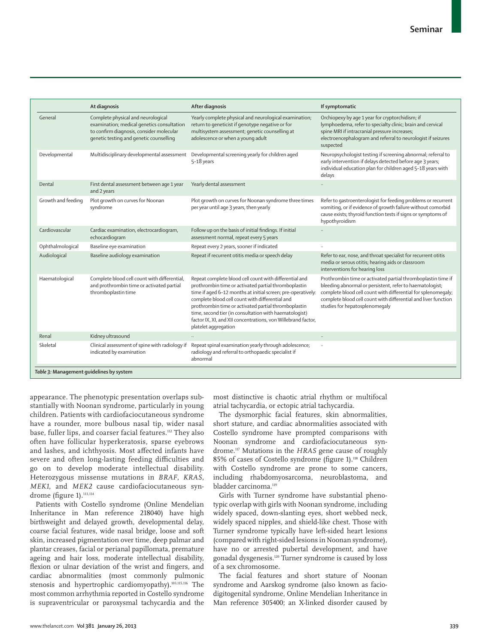|                                          | At diagnosis                                                                                                                                                            | After diagnosis                                                                                                                                                                                                                                                                                                                                                                                                                              | If symptomatic                                                                                                                                                                                                                                                                                |  |  |
|------------------------------------------|-------------------------------------------------------------------------------------------------------------------------------------------------------------------------|----------------------------------------------------------------------------------------------------------------------------------------------------------------------------------------------------------------------------------------------------------------------------------------------------------------------------------------------------------------------------------------------------------------------------------------------|-----------------------------------------------------------------------------------------------------------------------------------------------------------------------------------------------------------------------------------------------------------------------------------------------|--|--|
| General                                  | Complete physical and neurological<br>examination; medical genetics consultation<br>to confirm diagnosis, consider molecular<br>genetic testing and genetic counselling | Yearly complete physical and neurological examination;<br>return to geneticist if genotype negative or for<br>multisystem assessment; genetic counselling at<br>adolescence or when a young adult                                                                                                                                                                                                                                            | Orchiopexy by age 1 year for cryptorchidism; if<br>lymphoedema, refer to specialty clinic; brain and cervical<br>spine MRI if intracranial pressure increases;<br>electroencephalogram and referral to neurologist if seizures<br>suspected                                                   |  |  |
| Developmental                            | Multidisciplinary developmental assessment                                                                                                                              | Developmental screening yearly for children aged<br>5-18 years                                                                                                                                                                                                                                                                                                                                                                               | Neuropsychologist testing if screening abnormal; referral to<br>early intervention if delays detected before age 3 years;<br>individual education plan for children aged 5-18 years with<br>delays                                                                                            |  |  |
| Dental                                   | First dental assessment between age 1 year<br>and 2 years                                                                                                               | Yearly dental assessment                                                                                                                                                                                                                                                                                                                                                                                                                     |                                                                                                                                                                                                                                                                                               |  |  |
| Growth and feeding                       | Plot growth on curves for Noonan<br>syndrome                                                                                                                            | Plot growth on curves for Noonan syndrome three times<br>per year until age 3 years, then yearly                                                                                                                                                                                                                                                                                                                                             | Refer to gastroenterologist for feeding problems or recurrent<br>vomiting, or if evidence of growth failure without comorbid<br>cause exists; thyroid function tests if signs or symptoms of<br>hypothyroidism                                                                                |  |  |
| Cardiovascular                           | Cardiac examination, electrocardiogram,<br>echocardiogram                                                                                                               | Follow up on the basis of initial findings. If initial<br>assessment normal, repeat every 5 years                                                                                                                                                                                                                                                                                                                                            |                                                                                                                                                                                                                                                                                               |  |  |
| Ophthalmological                         | Baseline eye examination                                                                                                                                                | Repeat every 2 years, sooner if indicated                                                                                                                                                                                                                                                                                                                                                                                                    | $\ddotsc$                                                                                                                                                                                                                                                                                     |  |  |
| Audiological                             | Baseline audiology examination                                                                                                                                          | Repeat if recurrent otitis media or speech delay                                                                                                                                                                                                                                                                                                                                                                                             | Refer to ear, nose, and throat specialist for recurrent otitis<br>media or serous otitis; hearing aids or classroom<br>interventions for hearing loss                                                                                                                                         |  |  |
| Haematological                           | Complete blood cell count with differential,<br>and prothrombin time or activated partial<br>thromboplastin time                                                        | Repeat complete blood cell count with differential and<br>prothrombin time or activated partial thromboplastin<br>time if aged 6-12 months at initial screen; pre-operatively:<br>complete blood cell count with differential and<br>prothrombin time or activated partial thromboplastin<br>time, second tier (in consultation with haematologist)<br>factor IX, XI, and XII concentrations, von Willebrand factor,<br>platelet aggregation | Prothrombin time or activated partial thromboplastin time if<br>bleeding abnormal or persistent, refer to haematologist;<br>complete blood cell count with differential for splenomegaly;<br>complete blood cell count with differential and liver function<br>studies for hepatosplenomegaly |  |  |
| Renal                                    | Kidney ultrasound                                                                                                                                                       | $\ldots$                                                                                                                                                                                                                                                                                                                                                                                                                                     | $\ddotsc$                                                                                                                                                                                                                                                                                     |  |  |
| Skeletal                                 | Clinical assessment of spine with radiology if<br>indicated by examination                                                                                              | Repeat spinal examination yearly through adolescence;<br>radiology and referral to orthopaedic specialist if<br>abnormal                                                                                                                                                                                                                                                                                                                     |                                                                                                                                                                                                                                                                                               |  |  |
| Table 3: Management quidelines by system |                                                                                                                                                                         |                                                                                                                                                                                                                                                                                                                                                                                                                                              |                                                                                                                                                                                                                                                                                               |  |  |

appearance. The phenotypic presentation overlaps substantially with Noonan syndrome, particularly in young children. Patients with cardiofaciocutaneous syndrome have a rounder, more bulbous nasal tip, wider nasal base, fuller lips, and coarser facial features.112 They also often have follicular hyperkeratosis, sparse eyebrows and lashes, and ichthyosis. Most affected infants have severe and often long-lasting feeding difficulties and go on to develop moderate intellectual disability. Heterozygous missense mutations in *BRAF*, *KRAS*, *MEK1*, and *MEK2* cause cardiofaciocutaneous syndrome (figure 1).<sup>113,114</sup>

Patients with Costello syndrome (Online Mendelian Inheritance in Man reference 218040) have high birthweight and delayed growth, developmental delay, coarse facial features, wide nasal bridge, loose and soft skin, increased pigmentation over time, deep palmar and plantar creases, facial or perianal papillomata, premature ageing and hair loss, moderate intellectual disability, flexion or ulnar deviation of the wrist and fingers, and cardiac abnormalities (most commonly pulmonic stenosis and hypertrophic cardiomyopathy).<sup>103,115,116</sup> The most common arrhythmia reported in Costello syndrome is supraventricular or paroxysmal tachycardia and the

most distinctive is chaotic atrial rhythm or multifocal atrial tachycardia, or ectopic atrial tachycardia.

The dysmorphic facial features, skin abnormalities, short stature, and cardiac abnormalities associated with Costello syndrome have prompted comparisons with Noonan syndrome and cardiofaciocutaneous syndrome.117 Mutations in the *HRAS* gene cause of roughly 85% of cases of Costello syndrome (figure 1).<sup>118</sup> Children with Costello syndrome are prone to some cancers, including rhabdomyosarcoma, neuroblastoma, and bladder carcinoma.<sup>119</sup>

Girls with Turner syndrome have substantial phenotypic overlap with girls with Noonan syndrome, including widely spaced, down-slanting eyes, short webbed neck, widely spaced nipples, and shield-like chest. Those with Turner syndrome typically have left-sided heart lesions (compared with right-sided lesions in Noonan syndrome), have no or arrested pubertal development, and have gonadal dysgenesis.120 Turner syndrome is caused by loss of a sex chromosome.

The facial features and short stature of Noonan syndrome and Aarskog syndrome (also known as faciodigitogenital syndrome, Online Mendelian Inheritance in Man reference 305400; an X-linked disorder caused by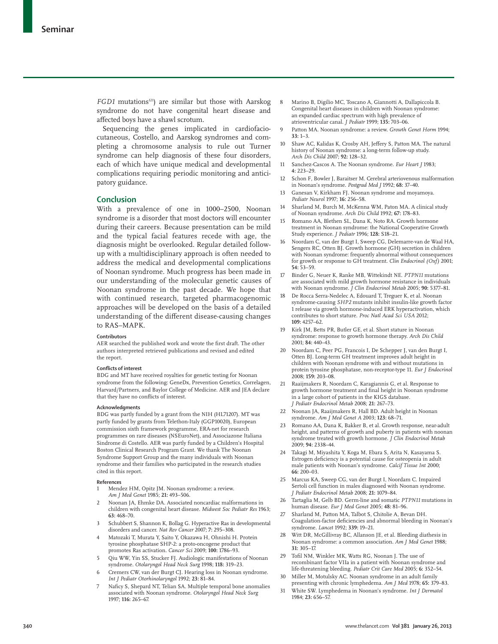*FGD1* mutations<sup>121</sup>) are similar but those with Aarskog syndrome do not have congenital heart disease and affected boys have a shawl scrotum.

Sequencing the genes implicated in cardiofaciocutaneous, Costello, and Aarskog syndromes and completing a chromosome analysis to rule out Turner syndrome can help diagnosis of these four disorders, each of which have unique medical and developmental complications requiring periodic monitoring and anticipatory guidance.

# **Conclusion**

With a prevalence of one in 1000–2500, Noonan syndrome is a disorder that most doctors will encounter during their careers. Because presentation can be mild and the typical facial features recede with age, the diagnosis might be overlooked. Regular detailed followup with a multidisciplinary approach is often needed to address the medical and developmental complications of Noonan syndrome. Much progress has been made in our understanding of the molecular genetic causes of Noonan syndrome in the past decade. We hope that with continued research, targeted pharmacogenomic approaches will be developed on the basis of a detailed understanding of the different disease-causing changes to RAS–MAPK.

### **Contributors**

AER searched the published work and wrote the first draft. The other authors interpreted retrieved publications and revised and edited the report.

### **Conflicts of interest**

BDG and MT have received royalties for genetic testing for Noonan syndrome from the following: GeneDx, Prevention Genetics, Correlagen, Harvard/Partners, and Baylor College of Medicine. AER and JEA declare that they have no conflicts of interest.

### **Acknowledgments**

BDG was partly funded by a grant from the NIH (HL71207). MT was partly funded by grants from Telethon-Italy (GGP10020), European commission sixth framework programme, ERA-net for research programmes on rare diseases (NSEuroNet), and Associazone Italiana Sindrome di Costello. AER was partly funded by a Children's Hospital Boston Clinical Research Program Grant. We thank The Noonan Syndrome Support Group and the many individuals with Noonan syndrome and their families who participated in the research studies cited in this report.

#### **References**

- Mendez HM, Opitz JM. Noonan syndrome: a review. *Am J Med Genet* 1985; **21:** 493–506.
- Noonan JA, Ehmke DA. Associated noncardiac malformations in children with congenital heart disease. *Midwest Soc Pediatr Res* 1963; **63:** 468–70.
- Schubbert S, Shannon K, Bollag G. Hyperactive Ras in developmental disorders and cancer. *Nat Rev Cancer* 2007; **7:** 295–308.
- Matozaki T, Murata Y, Saito Y, Okazawa H, Ohnishi H. Protein tyrosine phosphatase SHP-2: a proto-oncogene product that promotes Ras activation. *Cancer Sci* 2009; **100:** 1786–93.
- Qiu WW, Yin SS, Stucker FJ. Audiologic manifestations of Noonan syndrome. *Otolaryngol Head Neck Surg* 1998; **118:** 319–23.
- Cremers CW, van der Burgt CJ. Hearing loss in Noonan syndrome. *Int J Pediatr Otorhinolaryngol* 1992; **23:** 81–84.
- Naficy S, Shepard NT, Telian SA. Multiple temporal bone anomalies associated with Noonan syndrome. *Otolaryngol Head Neck Surg* 1997; **116:** 265–67.
- Marino B, Digilio MC, Toscano A, Giannotti A, Dallapiccola B. Congenital heart diseases in children with Noonan syndrome: an expanded cardiac spectrum with high prevalence of atrioventricular canal. *J Pediatr* 1999; **135:** 703–06.
- 9 Pa tton MA. Noonan syndrome: a review. *Growth Genet Horm* 1994; **33:** 1–3.
- 10 Shaw AC, Kalidas K, Crosby AH, Jeffery S, Patton MA. The natural history of Noonan syndrome: a long-term follow-up study. *Arch Dis Child* 2007; **92:** 128–32.
- 11 Sanchez-Cascos A. The Noonan syndrome. *Eur Heart J* 1983; **4:** 223–29.
- 12 Schon F, Bowler J, Baraitser M. Cerebral arteriovenous malformation in Noonan's syndrome. *Postgrad Med J* 1992; **68:** 37–40.
- 13 Ganesan V, Kirkham FJ. Noonan syndrome and moyamoya. *Pediatr Neurol* 1997; **16:** 256–58.
- 14 Sharland M, Burch M, McKenna WM, Paton MA, A clinical study of Noonan syndrome. *Arch Dis Child* 1992; **67:** 178–83.
- 15 Romano AA, Blethen SL, Dana K, Noto RA. Growth hormone treatment in Noonan syndrome: the National Cooperative Growth Study experience. *J Pediatr* 1996; **128:** S18–21.
- 16 Noordam C, van der Burgt I, Sweep CG, Delemarre-van de Waal HA, Sengers RC, Otten BJ. Growth hormone (GH) secretion in children with Noonan syndrome: frequently abnormal without consequences for growth or response to GH treatment. *Clin Endocrinol (Oxf)* 2001; **54:** 53–59.
- 17 B inder G, Neuer K, Ranke MB, Wittekindt NE. *PTPN11* mutations are associated with mild growth hormone resistance in individuals with Noonan syndrome. *J Clin Endocrinol Metab* 2005; **90:** 5377–81.
- De Rocca Serra-Nedelec A, Edouard T, Treguer K, et al. Noonan syndrome-causing *SHP2* mutants inhibit insulin-like growth factor 1 release via growth hormone-induced ERK hyperactivation, which contributes to short stature. *Proc Natl Acad Sci USA* 2012; **109:** 4257–62.
- 19 Kirk JM, Betts PR, Butler GE, et al. Short stature in Noonan syndrome: response to growth hormone therapy. *Arch Dis Child* 2001; **84:** 440–43.
- 20 Noordam C, Peer PG, Francois I, De Schepper J, van den Burgt I, Otten BJ. Long-term GH treatment improves adult height in children with Noonan syndrome with and without mutations in protein tyrosine phosphatase, non-receptor-type 11. *Eur J Endocrinol* 2008; **159:** 203–08.
- 21 Raaijmakers R, Noordam C, Karagiannis G, et al. Response to growth hormone treatment and final height in Noonan syndrome in a large cohort of patients in the KIGS database. *J Pediatr Endocrinol Metab* 2008; **21:** 267–73.
- 22 Noonan JA, Raaijmakers R, Hall BD. Adult height in Noonan syndrome. *Am J Med Genet A* 2003; **123:** 68–71.
- 23 Romano AA, Dana K, Bakker B, et al. Growth response, near-adult height, and patterns of growth and puberty in patients with noonan syndrome treated with growth hormone. *J Clin Endocrinol Metab* 2009; **94:** 2338–44.
- Takagi M, Miyashita Y, Koga M, Ebara S, Arita N, Kasayama S. Estrogen deficiency is a potential cause for osteopenia in adult male patients with Noonan's syndrome. *Calcif Tissue Int* 2000; **66:** 200–03.
- 25 Marcus KA, Sweep CG, van der Burgt I, Noordam C. Impaired Sertoli cell function in males diagnosed with Noonan syndrome. *J Pediatr Endocrinol Metab* 2008; **21:** 1079–84.
- 26 Tartaglia M, Gelb BD. Germ-line and somatic *PTPN11* mutations in human disease. *Eur J Med Genet* 2005; **48:** 81–96.
- 27 Sharland M, Patton MA, Talbot S, Chitolie A, Bevan DH. Coagulation-factor deficiencies and abnormal bleeding in Noonan's syndrome. *Lancet* 1992; **339:** 19–21.
- 28 Witt DR, McGillivray BC, Allanson JE, et al. Bleeding diathesis in Noonan syndrome: a common association. *Am J Med Genet* 1988; **31:** 305–17.
- 29 Tofil NM, Winkler MK, Watts RG, Noonan J. The use of recombinant factor VIIa in a patient with Noonan syndrome and life-threatening bleeding. *Pediatr Crit Care Med* 2005; **6:** 352–54.
- 30 Miller M, Motulsky AC. Noonan syndrome in an adult family presenting with chronic lymphedema. *Am J Med* 1978; **65:** 379–83.
- 31 W hite SW. Lymphedema in Noonan's syndrome. *Int J Dermatol* 1984; **23:** 656–57.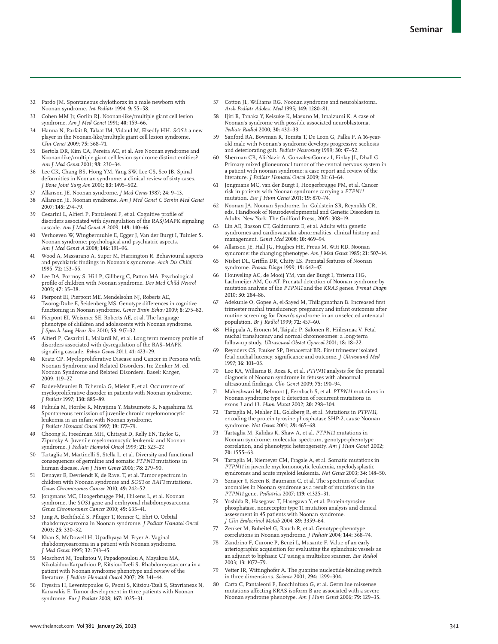- 32 Pardo JM. Spontaneous chylothorax in a male newborn with Noonan syndrome. *Int Pediatr* 1994; **9:** 55–58.
- 33 C ohen MM Jr, Gorlin RJ. Noonan-like/multiple giant cell lesion syndrome. *Am J Med Genet* 1991; **40:** 159–66.
- 34 Hanna N, Parfait B, Talaat IM, Vidaud M, Elsedfy HH. *SOS1*: a new player in the Noonan-like/multiple giant cell lesion syndrome. *Clin Genet* 2009; **75:** 568–71.
- 35 Bertola DR, Kim CA, Pereira AC, et al. Are Noonan syndrome and Noonan-like/multiple giant cell lesion syndrome distinct entities? *Am J Med Genet* 2001; **98**: 230–34.
- 36 Lee CK, Chang BS, Hong YM, Yang SW, Lee CS, Seo JB. Spinal deformities in Noonan syndrome: a clinical review of sixty cases. *J Bone Joint Surg Am* 2001; **83:** 1495–502.
- 37 A llanson JE. Noonan syndrome. *J Med Genet* 1987; **24:** 9–13.
- 38 A llanson JE. Noonan syndrome. *Am J Med Genet C Semin Med Genet* 2007; **145:** 274–79.
- Cesarini L, Alfieri P, Pantaleoni F, et al. Cognitive profile of disorders associated with dysregulation of the RAS/MAPK signaling cascade. *Am J Med Genet A* 2009; **149:** 140–46.
- Verhoeven W, Wingbermuhle E, Egger J, Van der Burgt I, Tuinier S. Noonan syndrome: psychological and psychiatric aspects. *Am J Med Genet A* 2008; **146:** 191–96.
- 41 Wood A, Massarano A, Super M, Harrington R. Behavioural aspects and psychiatric findings in Noonan's syndrome. Arch Dis Child 1995; **72:** 153–55.
- 42 Lee DA, Portnoy S, Hill P, Gillberg C, Patton MA. Psychological profile of children with Noonan syndrome. Dev Med Child Neurol 2005; **47:** 35–38.
- 43 Pierpont EI, Pierpont ME, Mendelsohn NJ, Roberts AE, Tworog-Dube E, Seidenberg MS. Genotype differences in cognitive functioning in Noonan syndrome. *Genes Brain Behav* 2009; **8:** 275–82.
- Pierpont EI, Weismer SE, Roberts AE, et al. The language phenotype of children and adolescents with Noonan syndrome. *J Speech Lang Hear Res* 2010; **53:** 917–32.
- 45 Alfieri P, Cesarini L, Mallardi M, et al. Long term memory profile of disorders associated with dysregulation of the RAS–MAPK signaling cascade. *Behav Genet* 2011; **41:** 423–29.
- 46 Kratz CP. Myeloproliferative Disease and Cancer in Persons with Noonan Syndrome and Related Disorders. In: Zenker M, ed. Noonan Syndrome and Related Disorders. Basel: Karger, 2009: 119–27.
- Bader-Meunier B, Tchernia G, Mielot F, et al. Occurrence of myeloproliferative disorder in patients with Noonan syndrome. *J Pediatr* 1997; **130:** 885–89.
- 48 Fukuda M, Horibe K, Miyajima Y, Matsumoto K, Nagashima M. Spontaneous remission of juvenile chronic myelomonocytic leukemia in an infant with Noonan syndrome. *J Pediatr Hematol Oncol* 1997; **19:** 177–79.
- 49 Choong K, Freedman MH, Chitayat D, Kelly EN, Taylor G, Zipursky A. Juvenile myelomonocytic leukemia and Noonan syndrome. *J Pediatr Hematol Oncol* 1999; **21:** 523–27.
- Tartaglia M, Martinelli S, Stella L, et al. Diversity and functional consequences of germline and somatic *PTPN11* mutations in human disease. *Am J Hum Genet* 2006; **78:** 279–90.
- 51 Denayer E, Devriendt K, de Ravel T, et al. Tumor spectrum in children with Noonan syndrome and *SOS1* or *RAF1* mutations. *Genes Chromosomes Cancer* 2010; **49:** 242–52.
- 52 Jongmans MC, Hoogerbrugge PM, Hilkens L, et al. Noonan syndrome, the *SOS1* gene and embryonal rhabdomyosarcoma. *Genes Chromosomes Cancer* 2010; **49:** 635–41.
- 53 Jung A, Bechthold S, Pfluger T, Renner C, Ehrt O. Orbital rhabdomyosarcoma in Noonan syndrome. *J Pediatr Hematol Oncol* 2003; **25:** 330–32.
- 54 Khan S, McDowell H, Upadhyaya M, Fryer A. Vaginal rhabdomyosarcoma in a patient with Noonan syndrome. *J Med Genet* 1995; **32:** 743–45.
- Moschovi M, Touliatou V, Papadopoulou A, Mayakou MA, Nikolaidou-Karpathiou P, Kitsiou-Tzeli S. Rhabdomyosarcoma in a patient with Noonan syndrome phenotype and review of the literature. *J Pediatr Hematol Oncol* 2007; **29:** 341–44.
- 56 Fryssira H, Leventopoulos G, Psoni S, Kitsiou-Tzeli S, Stavrianeas N, Kanavakis E. Tumor development in three patients with Noonan syndrome. *Eur J Pediatr* 2008; **167:** 1025–31.
- 57 Cotton JL, Williams RG. Noonan syndrome and neuroblastoma. *Arch Pediatr Adolesc Med* 1995; **149:** 1280–81.
- 58 Ijiri R, Tanaka Y, Keisuke K, Masuno M, Imaizumi K. A case of Noonan's syndrome with possible associated neuroblastoma. *Pediatr Radiol* 2000; **30:** 432–33.
- Sanford RA, Bowman R, Tomita T, De Leon G, Palka P, A 16-yearold male with Noonan's syndrome develops progressive scoliosis and deteriorating gait. *Pediatr Neurosurg* 1999; **30:** 47–52.
- 60 Sherman CB, Ali-Nazir A, Gonzales-Gomez I, Finlay JL, Dhall G. Primary mixed glioneuronal tumor of the central nervous system in a patient with noonan syndrome: a case report and review of the literature. *J Pediatr Hematol Oncol* 2009; **31:** 61–64.
- 61 Jongmans MC, van der Burgt I, Hoogerbrugge PM, et al. Cancer risk in patients with Noonan syndrome carrying a *PTPN11* mutation. *Eur J Hum Genet* 2011; **19:** 870–74.
- 62 Noonan JA. Noonan Syndrome. In: Goldstein SR, Reynolds CR, eds. Handbook of Neurodevelopmental and Genetic Disorders in Adults. New York: The Guilford Press, 2005: 308–19.
- 63 Lin AE, Basson CT, Goldmuntz E, et al. Adults with genetic syndromes and cardiovascular abnormalities: clinical history and management. *Genet Med* 2008; **10:** 469–94.
- Allanson JE, Hall JG, Hughes HE, Preus M, Witt RD. Noonan syndrome: the changing phenotype. *Am J Med Genet* 1985; **21:** 507–14.
- 65 Nisbet DL, Griffin DR, Chitty LS. Prenatal features of Noonan syndrome. *Prenat Diagn* 1999; **19:** 642–47.
- 66 Houweling AC, de Mooij YM, van der Burgt I, Yntema HG, Lachmeijer AM, Go AT. Prenatal detection of Noonan syndrome by mutation analysis of the *PTPN11* and the *KRAS* genes. *Prenat Diagn* 2010; **30:** 284–86.
- Adekunle O, Gopee A, el-Sayed M, Thilaganathan B. Increased first trimester nuchal translucency: pregnancy and infant outcomes after routine screening for Down's syndrome in an unselected antenatal population. *Br J Radiol* 1999; **72:** 457–60.
- 68 Hiippala A, Eronen M, Taipale P, Salonen R, Hiilesmaa V. Fetal nuchal translucency and normal chromosomes: a long-term follow-up study. *Ultrasound Obstet Gynecol* 2001; **18:** 18–22.
- 69 Reynders CS, Pauker SP, Benacerraf BR. First trimester isolated fetal nuchal lucency: significance and outcome. *J Ultrasound Med* 1997; **16:** 101–05.
- 70 Lee KA, Williams B, Roza K, et al. *PTPN11* analysis for the prenatal diagnosis of Noonan syndrome in fetuses with abnormal ultrasound fi ndings*. Clin Genet* 2009; **75:** 190–94.
- 71 Maheshwari M, Belmont J, Fernbach S, et al. *PTPN11* mutations in Noonan syndrome type I: detection of recurrent mutations in exons 3 and 13. *Hum Mutat* 2002; **20:** 298–304.
- 72 Tartaglia M, Mehler EL, Goldberg R, et al. Mutations in *PTPN11*, encoding the protein tyrosine phosphatase SHP-2, cause Noonan syndrome. *Nat Genet* 2001; **29:** 465–68.
- 73 Tartaglia M, Kalidas K, Shaw A, et al. *PTPN11* mutations in Noonan syndrome: molecular spectrum, genotype-phenotype correlation, and phenotypic heterogeneity. *Am J Hum Genet* 2002; **70:** 1555–63.
- Tartaglia M, Niemeyer CM, Fragale A, et al. Somatic mutations in *PTPN11* in juvenile myelomonocytic leukemia, myelodysplastic syndromes and acute myeloid leukemia. *Nat Genet* 2003; **34:** 148–50.
- 75 Sznajer Y, Keren B, Baumann C, et al. The spectrum of cardiac anomalies in Noonan syndrome as a result of mutations in the *PTPN11* gene. *Pediatrics* 2007; **119:** e1325–31.
- 76 Yoshida R, Hasegawa T, Hasegawa Y, et al. Protein-tyrosine phosphatase, nonreceptor type 11 mutation analysis and clinical assessment in 45 patients with Noonan syndrome. *J Clin Endocrinol Metab* 2004; **89:** 3359–64.
- 77 Zenker M, Buheitel G, Rauch R, et al. Genotype-phenotype correlations in Noonan syndrome. *J Pediatr* 2004; **144:** 368–74.
- 78 Zandrino F, Curone P, Benzi L, Musante F. Value of an early arteriographic acquisition for evaluating the splanchnic vessels as an adjunct to biphasic CT using a multislice scanner. *Eur Radiol* 2003; **13:** 1072–79.
- 79 Vetter IR, Wittinghofer A. The guanine nucleotide-binding switch in three dimensions. *Science* 2001; **294:** 1299–304.
- 80 Carta C, Pantaleoni F, Bocchinfuso G, et al. Germline missense mutations affecting KRAS isoform B are associated with a severe Noonan syndrome phenotype. *Am J Hum Genet* 2006; **79:** 129–35.